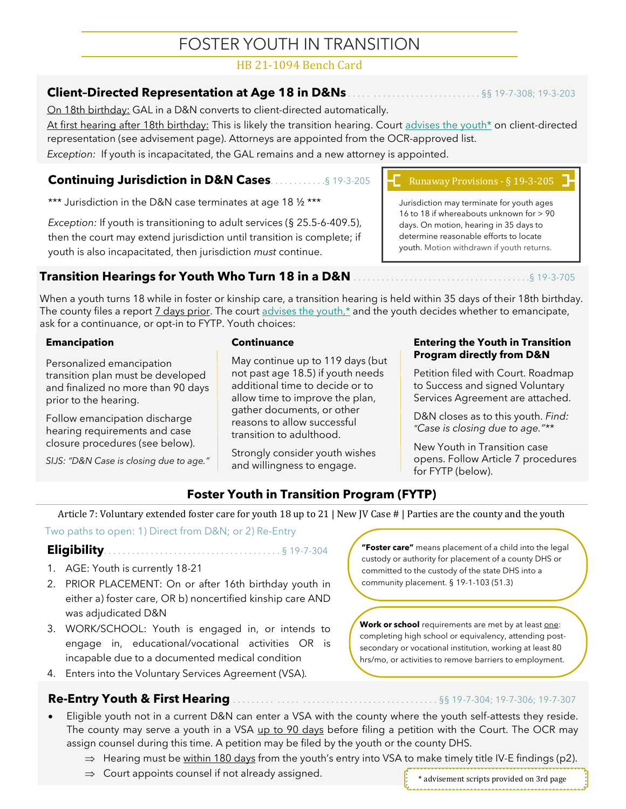# FOSTER YOUTH IN TRANSITION

## HB 21-1094 Bench Card

## **Client–Directed Representation at Age 18 in D&Ns** . . . . . . . . . . . . . . . . . . . . . . . . . . . . §§ 19-7-308; 19-3-203

On 18th birthday: GAL in a D&N converts to client-directed automatically.

At first hearing after 18th birthday: This is likely the transition hearing. Court advises the youth\* on client-directed representation (see advisement page). Attorneys are appointed from the OCR-approved list.

*Exception:* If youth is incapacitated, the GAL remains and a new attorney is appointed.

## **Continuing Jurisdiction in D&N Cases**. . . . . . . . . . . .§ 19-3-205

\*\*\* Jurisdiction in the D&N case terminates at age 18 1/2 \*\*\*

*Exception:* If youth is transitioning to adult services (§ 25.5-6-409.5), then the court may extend jurisdiction until transition is complete; if youth is also incapacitated, then jurisdiction *must* continue.

**Transition Hearings for Youth Who Turn 18 in a D&N** . . . . . . . . . . . . . . . . . . . . . . . . . . . . . . . . . . . . . .§ 19-3-705

When a youth turns 18 while in foster or kinship care, a transition hearing is held within 35 days of their 18th birthday. The county files a report <u>7 days prior</u>. The court advises the youth,\* and the youth decides whether to emancipate, ask for a continuance, or opt-in to FYTP. Youth choices:

#### **Emancipation**

Personalized emancipation transition plan must be developed and finalized no more than 90 days prior to the hearing.

Follow emancipation discharge hearing requirements and case closure procedures (see below).

*SIJS: "D&N Case is closing due to age."*

#### **Continuance**

May continue up to 119 days (but not past age 18.5) if youth needs additional time to decide or to allow time to improve the plan, gather documents, or other reasons to allow successful transition to adulthood.

Strongly consider youth wishes and willingness to engage.

## Runaway Provisions - § 19-3-205

Jurisdiction may terminate for youth ages 16 to 18 if whereabouts unknown for > 90 days. On motion, hearing in 35 days to determine reasonable efforts to locate youth. Motion withdrawn if youth returns.

#### **Entering the Youth in Transition Program directly from D&N**

Petition filed with Court. Roadmap to Success and signed Voluntary Services Agreement are attached.

D&N closes as to this youth. *Find: "Case is closing due to age."\*\**

New Youth in Transition case opens. Follow Article 7 procedures for FYTP (below).

## **Foster Youth in Transition Program (FYTP)**

Article 7: Voluntary extended foster care for youth 18 up to 21 | New JV Case # | Parties are the county and the youth

Two paths to open: 1) Direct from D&N; or 2) Re-Entry

#### **Eligibility**. . . . . . . . . . . . . . . . . . . . . . . . . . . . . . . . . . . . . . § 19-7-304

- 1. AGE: Youth is currently 18-21
- 2. PRIOR PLACEMENT: On or after 16th birthday youth in either a) foster care, OR b) noncertified kinship care AND was adjudicated D&N
- 3. WORK/SCHOOL: Youth is engaged in, or intends to engage in, educational/vocational activities OR is incapable due to a documented medical condition
- 4. Enters into the Voluntary Services Agreement (VSA).

## **Re-Entry Youth & First Hearing** . . . . . . . . . . . . . . . . . . . . . . . . . . . . . . . . . . . . . . . . . . . §§ 19-7-304; 19-7-306; 19-7-307

- Eligible youth not in a current D&N can enter a VSA with the county where the youth self-attests they reside. The county may serve a youth in a VSA up to 90 days before filing a petition with the Court. The OCR may assign counsel during this time. A petition may be filed by the youth or the county DHS.
	- $\Rightarrow$  Hearing must be within 180 days from the youth's entry into VSA to make timely title IV-E findings (p2).
	- $\Rightarrow$  Court appoints counsel if not already assigned.

**"Foster care"** means placement of a child into the legal custody or authority for placement of a county DHS or committed to the custody of the state DHS into a community placement. § 19-1-103 (51.3)

Work or school requirements are met by at least one: completing high school or equivalency, attending postsecondary or vocational institution, working at least 80 hrs/mo, or activities to remove barriers to employment.



\* advisement scripts provided on 3rd page

1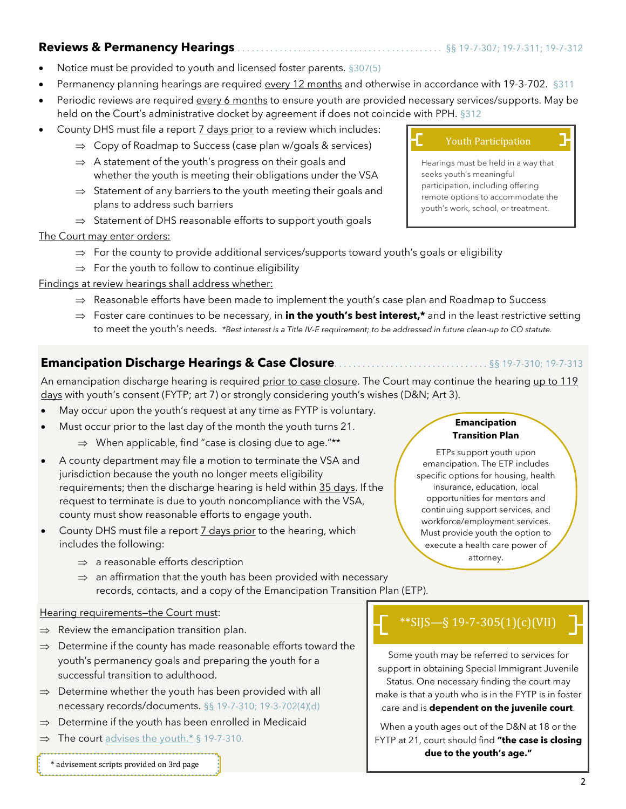### **Reviews & Permanency Hearings** . . . . . . . . . . . . . . . . . . . . . . . . . . . . . . . . . . . . . . . . . . . . §§ 19-7-307; 19-7-311; 19-7-312

- 
- Notice must be provided to youth and licensed foster parents. §307(5)
- Permanency planning hearings are required every 12 months and otherwise in accordance with 19-3-702. §311
- Periodic reviews are required every 6 months to ensure youth are provided necessary services/supports. May be held on the Court's administrative docket by agreement if does not coincide with PPH. §312
- County DHS must file a report 7 days prior to a review which includes:
	- $\Rightarrow$  Copy of Roadmap to Success (case plan w/goals & services)
	- $\Rightarrow$  A statement of the youth's progress on their goals and whether the youth is meeting their obligations under the VSA
	- $\Rightarrow$  Statement of any barriers to the youth meeting their goals and plans to address such barriers
	- $\Rightarrow$  Statement of DHS reasonable efforts to support youth goals
- The Court may enter orders:
	- $\Rightarrow$  For the county to provide additional services/supports toward youth's goals or eligibility
	- $\Rightarrow$  For the youth to follow to continue eligibility
- Findings at review hearings shall address whether:
	- $\Rightarrow$  Reasonable efforts have been made to implement the youth's case plan and Roadmap to Success
	- Foster care continues to be necessary, in **in the youth's best interest,\*** and in the least restrictive setting to meet the youth's needs. *\*Best interest is a Title IV-E requirement; to be addressed in future clean-up to CO statute.*

## **Emancipation Discharge Hearings & Case Closure**. . . . . . . . . . . . . . . . . . . . . . . . . . . . . . . . . §§ 19-7-310; 19-7-313

An emancipation discharge hearing is required prior to case closure. The Court may continue the hearing up to 119 days with youth's consent (FYTP; art 7) or strongly considering youth's wishes (D&N; Art 3).

- May occur upon the youth's request at any time as FYTP is voluntary.
- Must occur prior to the last day of the month the youth turns 21.
	- $\Rightarrow$  When applicable, find "case is closing due to age."\*\*
- A county department may file a motion to terminate the VSA and jurisdiction because the youth no longer meets eligibility requirements; then the discharge hearing is held within 35 days. If the request to terminate is due to youth noncompliance with the VSA, county must show reasonable efforts to engage youth.
- County DHS must file a report **7** days prior to the hearing, which includes the following:
	- $\Rightarrow$  a reasonable efforts description
	- $\Rightarrow$  an affirmation that the youth has been provided with necessary records, contacts, and a copy of the Emancipation Transition Plan (ETP).

#### Hearing requirements—the Court must:

- $\Rightarrow$  Review the emancipation transition plan.
- $\Rightarrow$  Determine if the county has made reasonable efforts toward the youth's permanency goals and preparing the youth for a successful transition to adulthood.
- $\Rightarrow$  Determine whether the youth has been provided with all necessary records/documents. §§ 19-7-310; 19-3-702(4)(d)
- $\Rightarrow$  Determine if the youth has been enrolled in Medicaid
- $\Rightarrow$  The court advises the youth.\* § 19-7-310.

#### \* advisement scripts provided on 3rd page

#### Youth Participation

Hearings must be held in a way that seeks youth's meaningful participation, including offering remote options to accommodate the youth's work, school, or treatment.

#### **Emancipation Transition Plan**

ETPs support youth upon emancipation. The ETP includes specific options for housing, health insurance, education, local opportunities for mentors and continuing support services, and workforce/employment services. Must provide youth the option to execute a health care power of attorney.

# \*\*SIJS—§ 19-7-305(1)(c)(VII)

Some youth may be referred to services for support in obtaining Special Immigrant Juvenile Status. One necessary finding the court may make is that a youth who is in the FYTP is in foster care and is **dependent on the juvenile court**.

When a youth ages out of the D&N at 18 or the FYTP at 21, court should find **"the case is closing due to the youth's age."**